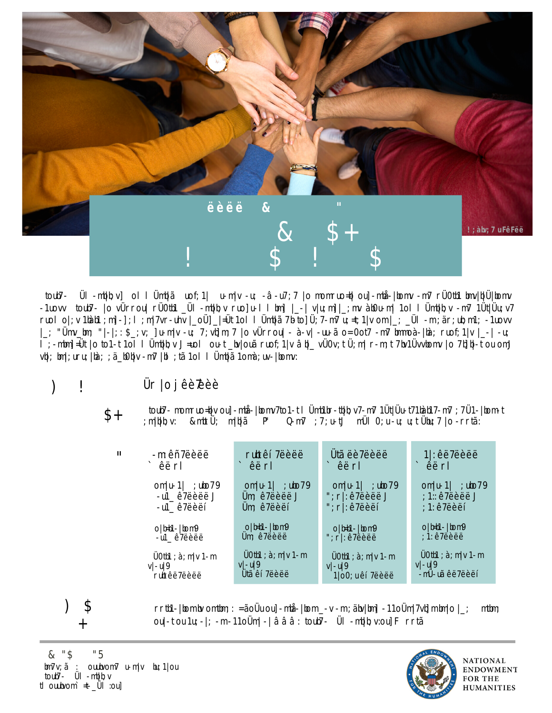



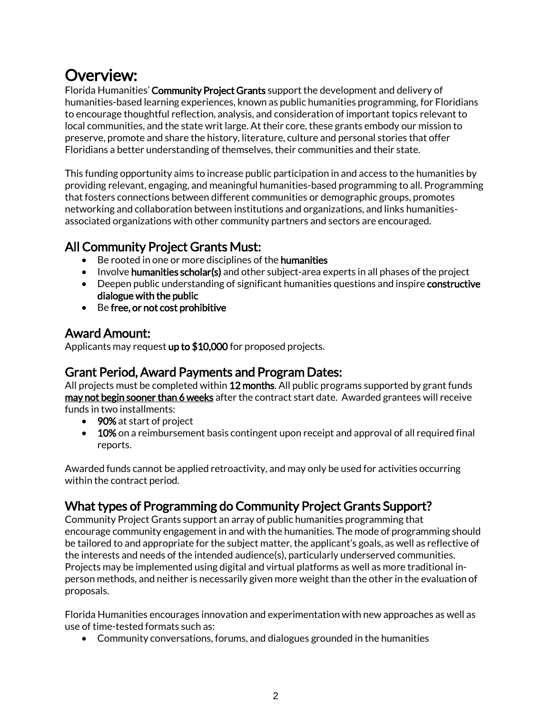## Overview:

Florida Humanities' Community Project Grants support the development and delivery of humanities-based learning experiences, known as public humanities programming, for Floridians to encourage thoughtful reflection, analysis, and consideration of important topics relevant to local communities, and the state writ large. At their core, these grants embody our mission to preserve, promote and share the history, literature, culture and personal stories that offer Floridians a better understanding of themselves, their communities and their state.

This funding opportunity aims to increase public participation in and access to the humanities by providing relevant, engaging, and meaningful humanities-based programming to all. Programming that fosters connections between different communities or demographic groups, promotes networking and collaboration between institutions and organizations, and links humanitiesassociated organizations with other community partners and sectors are encouraged.

## All Community Project Grants Must:

- Be rooted in one or more disciplines of the **humanities**
- Involve humanities scholar(s) and other subject-area experts in all phases of the project
- Deepen public understanding of significant humanities questions and inspire constructive dialogue with the public
- Be free, or not cost prohibitive

## Award Amount:

Applicants may request up to \$10,000 for proposed projects.

## Grant Period, Award Payments and Program Dates:

All projects must be completed within 12 months. All public programs supported by grant funds may not begin sooner than 6 weeks after the contract start date. Awarded grantees will receive funds in two installments:

- 90% at start of project
- 10% on a reimbursement basis contingent upon receipt and approval of all required final reports.

Awarded funds cannot be applied retroactivity, and may only be used for activities occurring within the contract period.

## What types of Programming do Community Project Grants Support?

Community Project Grants support an array of public humanities programming that encourage community engagement in and with the humanities. The mode of programming should be tailored to and appropriate for the subject matter, the applicant's goals, as well as reflective of the interests and needs of the intended audience(s), particularly underserved communities. Projects may be implemented using digital and virtual platforms as well as more traditional inperson methods, and neither is necessarily given more weight than the other in the evaluation of proposals.

Florida Humanities encourages innovation and experimentation with new approaches as well as use of time-tested formats such as:

• Community conversations, forums, and dialogues grounded in the humanities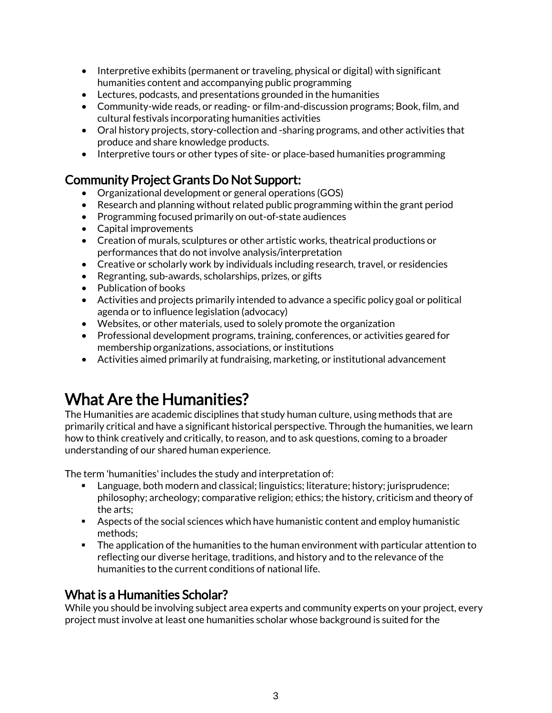- Interpretive exhibits (permanent or traveling, physical or digital) with significant humanities content and accompanying public programming
- Lectures, podcasts, and presentations grounded in the humanities
- Community-wide reads, or reading- or film-and-discussion programs; Book, film, and cultural festivals incorporating humanities activities
- Oral history projects, story-collection and -sharing programs, and other activities that produce and share knowledge products.
- Interpretive tours or other types of site- or place-based humanities programming

## Community Project Grants Do Not Support:

- Organizational development or general operations (GOS)
- Research and planning without related public programming within the grant period
- Programming focused primarily on out-of-state audiences
- Capital improvements
- Creation of murals, sculptures or other artistic works, theatrical productions or performances that do not involve analysis/interpretation
- Creative or scholarly work by individuals including research, travel, or residencies
- Regranting, sub-awards, scholarships, prizes, or gifts
- Publication of books
- Activities and projects primarily intended to advance a specific policy goal or political agenda or to influence legislation (advocacy)
- Websites, or other materials, used to solely promote the organization
- Professional development programs, training, conferences, or activities geared for membership organizations, associations, or institutions
- Activities aimed primarily at fundraising, marketing, or institutional advancement

## What Are the Humanities?

The Humanities are academic disciplines that study human culture, using methods that are primarily critical and have a significant historical perspective. Through the humanities, we learn how to think creatively and critically, to reason, and to ask questions, coming to a broader understanding of our shared human experience.

The term 'humanities' includes the study and interpretation of:

- Language, both modern and classical; linguistics; literature; history; jurisprudence; philosophy; archeology; comparative religion; ethics; the history, criticism and theory of the arts;
- Aspects of the social sciences which have humanistic content and employ humanistic methods;
- **•** The application of the humanities to the human environment with particular attention to reflecting our diverse heritage, traditions, and history and to the relevance of the humanities to the current conditions of national life.

## What is a Humanities Scholar?

While you should be involving subject area experts and community experts on your project, every project mustinvolve at least one humanities scholar whose background is suited for the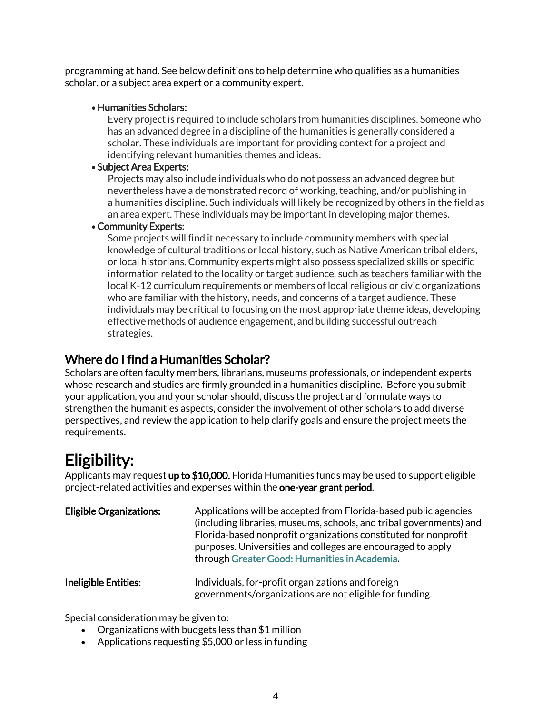programming at hand. See below definitions to help determine who qualifies as a humanities scholar, or a subject area expert or a community expert.

#### • Humanities Scholars:

Every project is required to include scholars from humanities disciplines. Someone who has an advanced degree in a discipline of the humanities is generally considered a scholar. These individuals are important for providing context for a project and identifying relevant humanities themes and ideas.

#### • Subject Area Experts:

Projects may also include individuals who do not possess an advanced degree but nevertheless have a demonstrated record of working, teaching, and/or publishing in a humanities discipline. Such individuals will likely be recognized by others in the field as an area expert. These individuals may be important in developing major themes.

#### • Community Experts:

Some projects will find it necessary to include community members with special knowledge of cultural traditions or local history, such as Native American tribal elders, or local historians. Community experts might also possess specialized skills or specific information related to the locality or target audience, such as teachers familiar with the local K-12 curriculum requirements or members of local religious or civic organizations who are familiar with the history, needs, and concerns of a target audience. These individuals may be critical to focusing on the most appropriate theme ideas, developing effective methods of audience engagement, and building successful outreach strategies.

### Where do I find a Humanities Scholar?

Scholars are often faculty members, librarians, museums professionals, or independent experts whose research and studies are firmly grounded in a humanities discipline. Before you submit your application, you and your scholar should, discuss the project and formulate ways to strengthen the humanities aspects, consider the involvement of other scholars to add diverse perspectives, and review the application to help clarify goals and ensure the project meets the requirements.

## Eligibility:

Applicants may request up to \$10,000. Florida Humanities funds may be used to support eligible project-related activities and expenses within the one-year grant period.

| <b>Eligible Organizations:</b> | Applications will be accepted from Florida-based public agencies<br>(including libraries, museums, schools, and tribal governments) and<br>Florida-based nonprofit organizations constituted for nonprofit<br>purposes. Universities and colleges are encouraged to apply<br>through Greater Good: Humanities in Academia. |
|--------------------------------|----------------------------------------------------------------------------------------------------------------------------------------------------------------------------------------------------------------------------------------------------------------------------------------------------------------------------|
| Ineligible Entities:           | Individuals, for-profit organizations and foreign<br>governments/organizations are not eligible for funding.                                                                                                                                                                                                               |

Special consideration may be given to:

- Organizations with budgets less than \$1 million
- Applications requesting \$5,000 or less in funding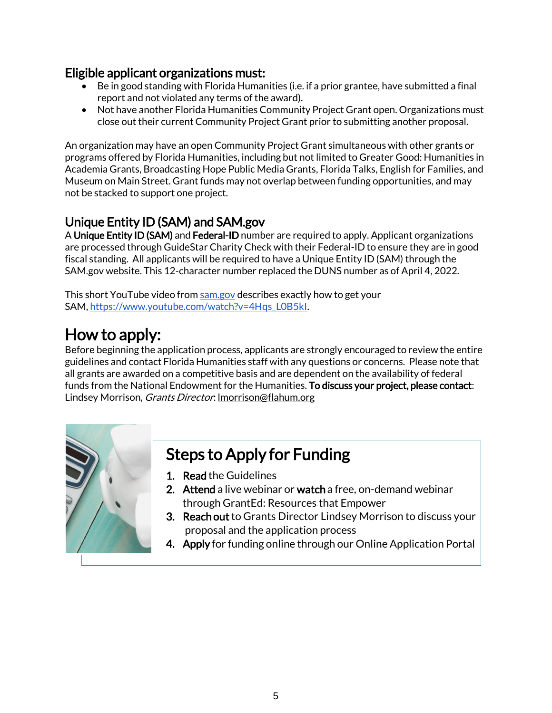### Eligible applicant organizations must:

- $\bullet$  Be in good standing with Florida Humanities (i.e. if a prior grantee, have submitted a final report and not violated any terms of the award).
- Not have another Florida Humanities Community Project Grant open. Organizations must close out their current Community Project Grant prior to submitting another proposal.

An organization may have an open Community Project Grant simultaneous with other grants or programs offered by Florida Humanities, including but not limited to Greater Good: Humanities in Academia Grants, Broadcasting Hope Public Media Grants, Florida Talks, English for Families, and Museum on Main Street. Grant funds may not overlap between funding opportunities, and may not be stacked to support one project.

## Unique Entity ID (SAM) and SAM.gov

A Unique Entity ID (SAM) and Federal-ID number are required to apply. Applicant organizations are processed through GuideStar Charity Check with their Federal-ID to ensure they are in good fiscal standing. All applicants will be required to have a Unique Entity ID (SAM) through the SAM.gov website. This 12-character number replaced the DUNS number as of April 4, 2022.

This short YouTube video from [sam.gov](http://sam.gov/) describes exactly how to get your SAM, [https://www.youtube.com/watch?v=4Hqs\\_L0B5kI.](https://lnks.gd/l/eyJhbGciOiJIUzI1NiJ9.eyJidWxsZXRpbl9saW5rX2lkIjoxMTcsInVyaSI6ImJwMjpjbGljayIsImJ1bGxldGluX2lkIjoiMjAyMjAxMTEuNTE2MDU3MjEiLCJ1cmwiOiJodHRwczovL3d3dy55b3V0dWJlLmNvbS93YXRjaD92PTRIcXNfTDBCNWtJIn0.RLGWw98JtAkGMTbTdpXsUI4TD4wxKNJmWUvCBsyv6sM/s/1357190057/br/124551928038-l)

## How to apply:

Before beginning the application process, applicants are strongly encouraged to review the entire guidelines and contact Florida Humanities staff with any questions or concerns. Please note that all grants are awarded on a competitive basis and are dependent on the availability of federal funds from the National Endowment for the Humanities. To discuss your project, please contact: Lindsey Morrison, *Grants Director*: Imorrison@flahum.org



## Steps to Apply for Funding

- 1. Read the Guidelines
- 2. Attend a live webinar or watch a free, on-demand webinar through GrantEd: Resources that Empower
- 3. Reach out to Grants Director Lindsey Morrison to discuss your proposal and the application process
- 4. Apply for funding online through our Online Application Portal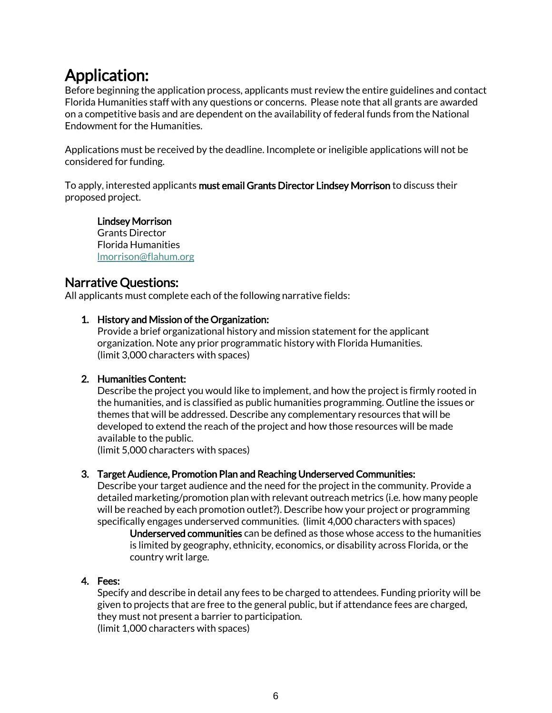## Application:

Before beginning the application process, applicants must review the entire guidelines and contact Florida Humanities staff with any questions or concerns. Please note that all grants are awarded on a competitive basis and are dependent on the availability of federal funds from the National Endowment for the Humanities.

Applications must be received by the deadline. Incomplete or ineligible applications will not be considered for funding.

To apply, interested applicants must email Grants Director Lindsey Morrison to discuss their proposed project.

Lindsey Morrison Grants Director Florida Humanities [lmorrison@flahum.org](mailto:lmorrison@flahum.org)

### Narrative Questions:

All applicants must complete each of the following narrative fields:

#### 1. History and Mission of the Organization:

Provide a brief organizational history and mission statement for the applicant organization. Note any prior programmatic history with Florida Humanities. (limit 3,000 characters with spaces)

#### 2. Humanities Content:

Describe the project you would like to implement, and how the project is firmly rooted in the humanities, and is classified as public humanities programming. Outline the issues or themes that will be addressed. Describe any complementary resources that will be developed to extend the reach of the project and how those resources will be made available to the public.

(limit 5,000 characters with spaces)

#### 3. Target Audience, Promotion Plan and Reaching Underserved Communities:

Describe your target audience and the need for the project in the community. Provide a detailed marketing/promotion plan with relevant outreach metrics (i.e. how many people will be reached by each promotion outlet?). Describe how your project or programming specifically engages underserved communities. (limit 4,000 characters with spaces)

Underserved communities can be defined as those whose access to the humanities is limited by geography, ethnicity, economics, or disability across Florida, or the country writ large.

#### 4. Fees:

Specify and describe in detail any fees to be charged to attendees. Funding priority will be given to projects that are free to the general public, but if attendance fees are charged, they must not present a barrier to participation. (limit 1,000 characters with spaces)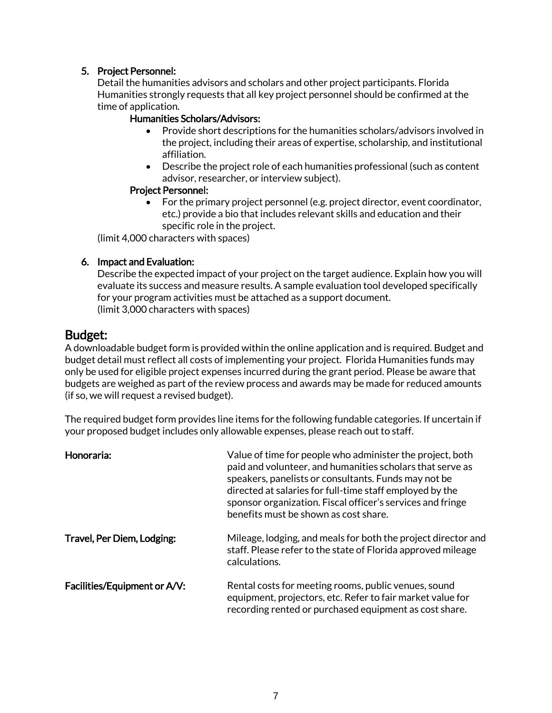#### 5. Project Personnel:

Detail the humanities advisors and scholars and other project participants. Florida Humanities strongly requests that all key project personnel should be confirmed at the time of application.

#### Humanities Scholars/Advisors:

- Provide short descriptions for the humanities scholars/advisors involved in the project, including their areas of expertise, scholarship, and institutional affiliation.
- Describe the project role of each humanities professional (such as content advisor, researcher, or interview subject).

#### Project Personnel:

• For the primary project personnel (e.g. project director, event coordinator, etc.) provide a bio that includes relevant skills and education and their specific role in the project.

(limit 4,000 characters with spaces)

#### 6. Impact and Evaluation:

Describe the expected impact of your project on the target audience. Explain how you will evaluate its success and measure results. A sample evaluation tool developed specifically for your program activities must be attached as a support document. (limit 3,000 characters with spaces)

#### Budget:

A downloadable budget form is provided within the online application and is required. Budget and budget detail must reflect all costs of implementing your project. Florida Humanities funds may only be used for eligible project expenses incurred during the grant period. Please be aware that budgets are weighed as part of the review process and awards may be made for reduced amounts (if so, we will request a revised budget).

The required budget form provides line items for the following fundable categories. If uncertain if your proposed budget includes only allowable expenses, please reach out to staff.

| Honoraria:                   | Value of time for people who administer the project, both<br>paid and volunteer, and humanities scholars that serve as<br>speakers, panelists or consultants. Funds may not be<br>directed at salaries for full-time staff employed by the<br>sponsor organization. Fiscal officer's services and fringe<br>benefits must be shown as cost share. |
|------------------------------|---------------------------------------------------------------------------------------------------------------------------------------------------------------------------------------------------------------------------------------------------------------------------------------------------------------------------------------------------|
| Travel, Per Diem, Lodging:   | Mileage, lodging, and meals for both the project director and<br>staff. Please refer to the state of Florida approved mileage<br>calculations.                                                                                                                                                                                                    |
| Facilities/Equipment or A/V: | Rental costs for meeting rooms, public venues, sound<br>equipment, projectors, etc. Refer to fair market value for<br>recording rented or purchased equipment as cost share.                                                                                                                                                                      |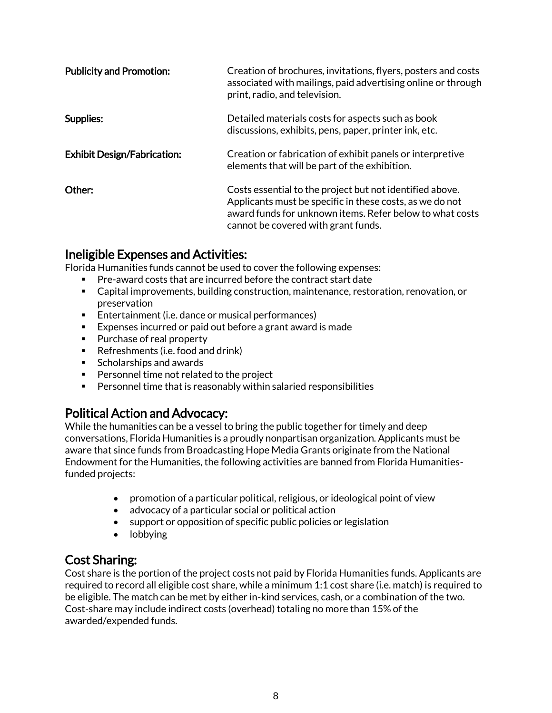| <b>Publicity and Promotion:</b>    | Creation of brochures, invitations, flyers, posters and costs<br>associated with mailings, paid advertising online or through<br>print, radio, and television.                                                          |
|------------------------------------|-------------------------------------------------------------------------------------------------------------------------------------------------------------------------------------------------------------------------|
| Supplies:                          | Detailed materials costs for aspects such as book<br>discussions, exhibits, pens, paper, printer ink, etc.                                                                                                              |
| <b>Exhibit Design/Fabrication:</b> | Creation or fabrication of exhibit panels or interpretive<br>elements that will be part of the exhibition.                                                                                                              |
| Other:                             | Costs essential to the project but not identified above.<br>Applicants must be specific in these costs, as we do not<br>award funds for unknown items. Refer below to what costs<br>cannot be covered with grant funds. |

### Ineligible Expenses and Activities:

Florida Humanities funds cannot be used to cover the following expenses:

- Pre-award costs that are incurred before the contract start date
- Capital improvements, building construction, maintenance, restoration, renovation, or preservation
- Entertainment (i.e. dance or musical performances)
- Expenses incurred or paid out before a grant award is made
- Purchase of real property
- Refreshments (i.e. food and drink)
- Scholarships and awards
- Personnel time not related to the project
- Personnel time that is reasonably within salaried responsibilities

## Political Action and Advocacy:

While the humanities can be a vessel to bring the public together for timely and deep conversations, Florida Humanities is a proudly nonpartisan organization. Applicants must be aware that since funds from Broadcasting Hope Media Grants originate from the National Endowment for the Humanities, the following activities are banned from Florida Humanitiesfunded projects:

- promotion of a particular political, religious, or ideological point of view
- advocacy of a particular social or political action
- support or opposition of specific public policies or legislation
- lobbying

### Cost Sharing:

Cost share is the portion of the project costs not paid by Florida Humanities funds. Applicants are required to record all eligible cost share, while a minimum 1:1 cost share (i.e. match) is required to be eligible. The match can be met by either in-kind services, cash, or a combination of the two. Cost-share may include indirect costs (overhead) totaling no more than 15% of the awarded/expended funds.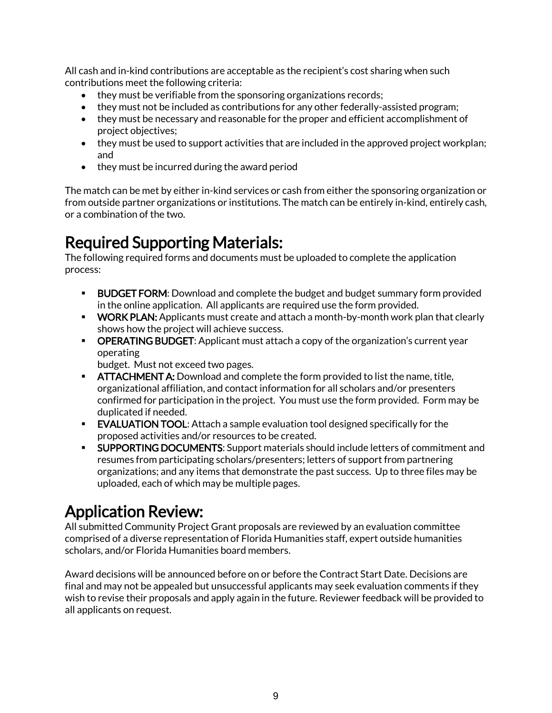All cash and in-kind contributions are acceptable as the recipient's cost sharing when such contributions meet the following criteria:

- they must be verifiable from the sponsoring organizations records;
- they must not be included as contributions for any other federally-assisted program;
- they must be necessary and reasonable for the proper and efficient accomplishment of project objectives;
- they must be used to support activities that are included in the approved project workplan; and
- they must be incurred during the award period

The match can be met by either in-kind services or cash from either the sponsoring organization or from outside partner organizations or institutions. The match can be entirely in-kind, entirely cash, or a combination of the two.

## Required Supporting Materials:

The following required forms and documents must be uploaded to complete the application process:

- **EUDGET FORM:** Download and complete the budget and budget summary form provided in the online application. All applicants are required use the form provided.
- **WORK PLAN:** Applicants must create and attach a month-by-month work plan that clearly shows how the project will achieve success.
- **OPERATING BUDGET:** Applicant must attach a copy of the organization's current year operating

budget. Must not exceed two pages.

- **EXTERGHMENT A:** Download and complete the form provided to list the name, title, organizational affiliation, and contact information for all scholars and/or presenters confirmed for participation in the project. You must use the form provided. Form may be duplicated if needed.
- **EVALUATION TOOL:** Attach a sample evaluation tool designed specifically for the proposed activities and/or resources to be created.
- **SUPPORTING DOCUMENTS:** Support materials should include letters of commitment and resumes from participating scholars/presenters; letters of support from partnering organizations; and any items that demonstrate the past success. Up to three files may be uploaded, each of which may be multiple pages.

## Application Review:

All submitted Community Project Grant proposals are reviewed by an evaluation committee comprised of a diverse representation of Florida Humanities staff, expert outside humanities scholars, and/or Florida Humanities board members.

Award decisions will be announced before on or before the Contract Start Date. Decisions are final and may not be appealed but unsuccessful applicants may seek evaluation comments if they wish to revise their proposals and apply again in the future. Reviewer feedback will be provided to all applicants on request.